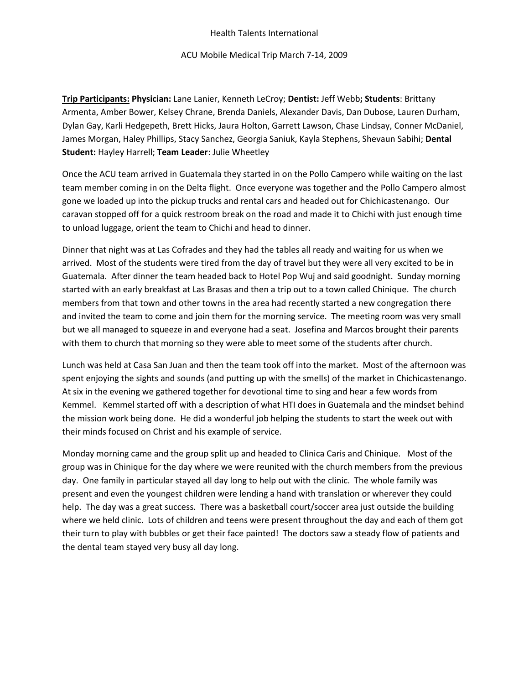## Health Talents International

ACU Mobile Medical Trip March 7-14, 2009

**Trip Participants: Physician:** Lane Lanier, Kenneth LeCroy; **Dentist:** Jeff Webb**; Students**: Brittany Armenta, Amber Bower, Kelsey Chrane, Brenda Daniels, Alexander Davis, Dan Dubose, Lauren Durham, Dylan Gay, Karli Hedgepeth, Brett Hicks, Jaura Holton, Garrett Lawson, Chase Lindsay, Conner McDaniel, James Morgan, Haley Phillips, Stacy Sanchez, Georgia Saniuk, Kayla Stephens, Shevaun Sabihi; **Dental Student:** Hayley Harrell; **Team Leader**: Julie Wheetley

Once the ACU team arrived in Guatemala they started in on the Pollo Campero while waiting on the last team member coming in on the Delta flight. Once everyone was together and the Pollo Campero almost gone we loaded up into the pickup trucks and rental cars and headed out for Chichicastenango. Our caravan stopped off for a quick restroom break on the road and made it to Chichi with just enough time to unload luggage, orient the team to Chichi and head to dinner.

Dinner that night was at Las Cofrades and they had the tables all ready and waiting for us when we arrived. Most of the students were tired from the day of travel but they were all very excited to be in Guatemala. After dinner the team headed back to Hotel Pop Wuj and said goodnight. Sunday morning started with an early breakfast at Las Brasas and then a trip out to a town called Chinique. The church members from that town and other towns in the area had recently started a new congregation there and invited the team to come and join them for the morning service. The meeting room was very small but we all managed to squeeze in and everyone had a seat. Josefina and Marcos brought their parents with them to church that morning so they were able to meet some of the students after church.

Lunch was held at Casa San Juan and then the team took off into the market. Most of the afternoon was spent enjoying the sights and sounds (and putting up with the smells) of the market in Chichicastenango. At six in the evening we gathered together for devotional time to sing and hear a few words from Kemmel. Kemmel started off with a description of what HTI does in Guatemala and the mindset behind the mission work being done. He did a wonderful job helping the students to start the week out with their minds focused on Christ and his example of service.

Monday morning came and the group split up and headed to Clinica Caris and Chinique. Most of the group was in Chinique for the day where we were reunited with the church members from the previous day. One family in particular stayed all day long to help out with the clinic. The whole family was present and even the youngest children were lending a hand with translation or wherever they could help. The day was a great success. There was a basketball court/soccer area just outside the building where we held clinic. Lots of children and teens were present throughout the day and each of them got their turn to play with bubbles or get their face painted! The doctors saw a steady flow of patients and the dental team stayed very busy all day long.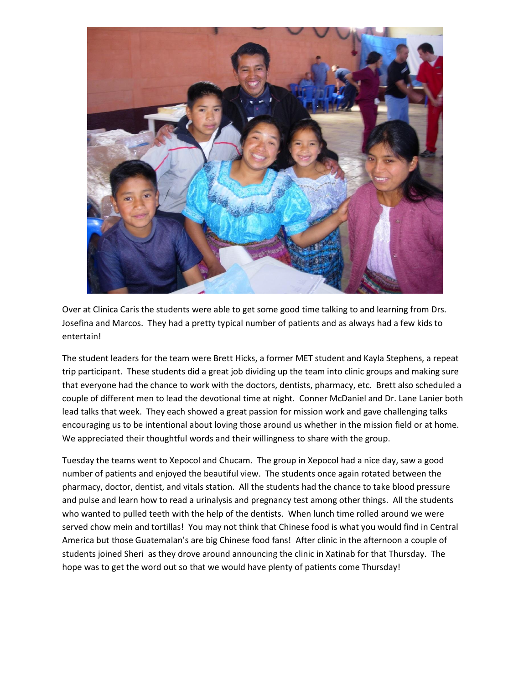

Over at Clinica Caris the students were able to get some good time talking to and learning from Drs. Josefina and Marcos. They had a pretty typical number of patients and as always had a few kids to entertain!

The student leaders for the team were Brett Hicks, a former MET student and Kayla Stephens, a repeat trip participant. These students did a great job dividing up the team into clinic groups and making sure that everyone had the chance to work with the doctors, dentists, pharmacy, etc. Brett also scheduled a couple of different men to lead the devotional time at night. Conner McDaniel and Dr. Lane Lanier both lead talks that week. They each showed a great passion for mission work and gave challenging talks encouraging us to be intentional about loving those around us whether in the mission field or at home. We appreciated their thoughtful words and their willingness to share with the group.

Tuesday the teams went to Xepocol and Chucam. The group in Xepocol had a nice day, saw a good number of patients and enjoyed the beautiful view. The students once again rotated between the pharmacy, doctor, dentist, and vitals station. All the students had the chance to take blood pressure and pulse and learn how to read a urinalysis and pregnancy test among other things. All the students who wanted to pulled teeth with the help of the dentists. When lunch time rolled around we were served chow mein and tortillas! You may not think that Chinese food is what you would find in Central America but those Guatemalan's are big Chinese food fans! After clinic in the afternoon a couple of students joined Sheri as they drove around announcing the clinic in Xatinab for that Thursday. The hope was to get the word out so that we would have plenty of patients come Thursday!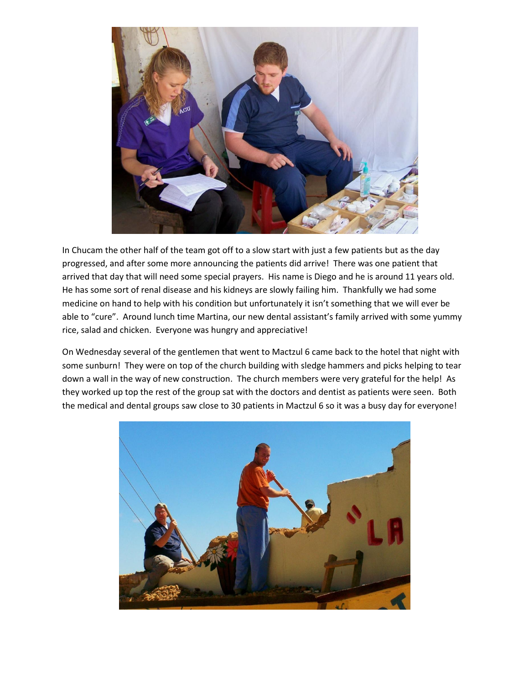

In Chucam the other half of the team got off to a slow start with just a few patients but as the day progressed, and after some more announcing the patients did arrive! There was one patient that arrived that day that will need some special prayers. His name is Diego and he is around 11 years old. He has some sort of renal disease and his kidneys are slowly failing him. Thankfully we had some medicine on hand to help with his condition but unfortunately it isn't something that we will ever be able to "cure". Around lunch time Martina, our new dental assistant's family arrived with some yummy rice, salad and chicken. Everyone was hungry and appreciative!

On Wednesday several of the gentlemen that went to Mactzul 6 came back to the hotel that night with some sunburn! They were on top of the church building with sledge hammers and picks helping to tear down a wall in the way of new construction. The church members were very grateful for the help! As they worked up top the rest of the group sat with the doctors and dentist as patients were seen. Both the medical and dental groups saw close to 30 patients in Mactzul 6 so it was a busy day for everyone!

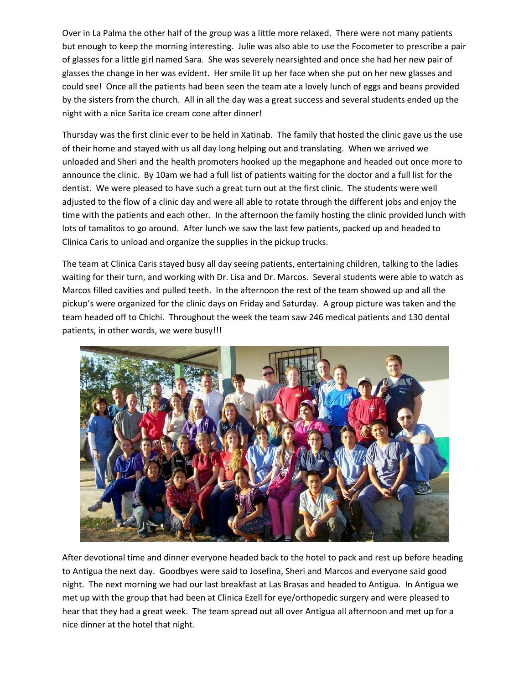Over in La Palma the other half of the group was a little more relaxed. There were not many patients but enough to keep the morning interesting. Julie was also able to use the Focometer to prescribe a pair of glasses for a little girl named Sara. She was severely nearsighted and once she had her new pair of glasses the change in her was evident. Her smile lit up her face when she put on her new glasses and could see! Once all the patients had been seen the team ate a lovely lunch of eggs and beans provided by the sisters from the church. All in all the day was a great success and several students ended up the night with a nice Sarita ice cream cone after dinner!

Thursday was the first clinic ever to be held in Xatinab. The family that hosted the clinic gave us the use of their home and stayed with us all day long helping out and translating. When we arrived we unloaded and Sheri and the health promoters hooked up the megaphone and headed out once more to announce the clinic. By 10am we had a full list of patients waiting for the doctor and a full list for the dentist. We were pleased to have such a great turn out at the first clinic. The students were well adjusted to the flow of a clinic day and were all able to rotate through the different jobs and enjoy the time with the patients and each other. In the afternoon the family hosting the clinic provided lunch with lots of tamalitos to go around. After lunch we saw the last few patients, packed up and headed to Clinica Caris to unload and organize the supplies in the pickup trucks.

The team at Clinica Caris stayed busy all day seeing patients, entertaining children, talking to the ladies waiting for their turn, and working with Dr. Lisa and Dr. Marcos. Several students were able to watch as Marcos filled cavities and pulled teeth. In the afternoon the rest of the team showed up and all the pickup's were organized for the clinic days on Friday and Saturday. A group picture was taken and the team headed off to Chichi. Throughout the week the team saw 246 medical patients and 130 dental patients, in other words, we were busy!!!



After devotional time and dinner everyone headed back to the hotel to pack and rest up before heading to Antigua the next day. Goodbyes were said to Josefina, Sheri and Marcos and everyone said good night. The next morning we had our last breakfast at Las Brasas and headed to Antigua. In Antigua we met up with the group that had been at Clinica Ezell for eye/orthopedic surgery and were pleased to hear that they had a great week. The team spread out all over Antigua all afternoon and met up for a nice dinner at the hotel that night.